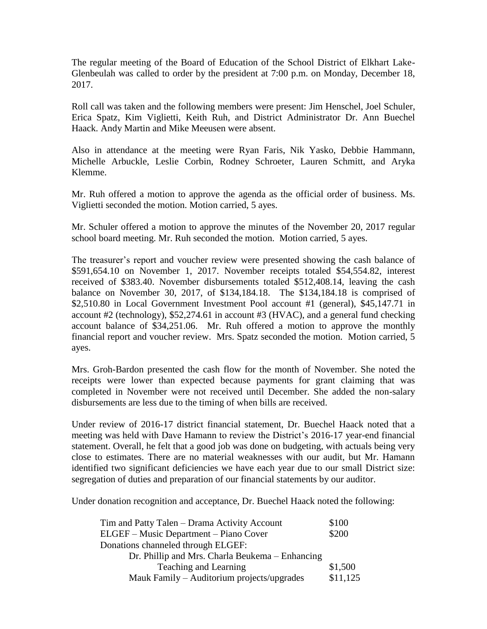The regular meeting of the Board of Education of the School District of Elkhart Lake-Glenbeulah was called to order by the president at 7:00 p.m. on Monday, December 18, 2017.

Roll call was taken and the following members were present: Jim Henschel, Joel Schuler, Erica Spatz, Kim Viglietti, Keith Ruh, and District Administrator Dr. Ann Buechel Haack. Andy Martin and Mike Meeusen were absent.

Also in attendance at the meeting were Ryan Faris, Nik Yasko, Debbie Hammann, Michelle Arbuckle, Leslie Corbin, Rodney Schroeter, Lauren Schmitt, and Aryka Klemme.

Mr. Ruh offered a motion to approve the agenda as the official order of business. Ms. Viglietti seconded the motion. Motion carried, 5 ayes.

Mr. Schuler offered a motion to approve the minutes of the November 20, 2017 regular school board meeting. Mr. Ruh seconded the motion. Motion carried, 5 ayes.

The treasurer's report and voucher review were presented showing the cash balance of \$591,654.10 on November 1, 2017. November receipts totaled \$54,554.82, interest received of \$383.40. November disbursements totaled \$512,408.14, leaving the cash balance on November 30, 2017, of \$134,184.18. The \$134,184.18 is comprised of \$2,510.80 in Local Government Investment Pool account #1 (general), \$45,147.71 in account #2 (technology), \$52,274.61 in account #3 (HVAC), and a general fund checking account balance of \$34,251.06. Mr. Ruh offered a motion to approve the monthly financial report and voucher review. Mrs. Spatz seconded the motion. Motion carried, 5 ayes.

Mrs. Groh-Bardon presented the cash flow for the month of November. She noted the receipts were lower than expected because payments for grant claiming that was completed in November were not received until December. She added the non-salary disbursements are less due to the timing of when bills are received.

Under review of 2016-17 district financial statement, Dr. Buechel Haack noted that a meeting was held with Dave Hamann to review the District's 2016-17 year-end financial statement. Overall, he felt that a good job was done on budgeting, with actuals being very close to estimates. There are no material weaknesses with our audit, but Mr. Hamann identified two significant deficiencies we have each year due to our small District size: segregation of duties and preparation of our financial statements by our auditor.

Under donation recognition and acceptance, Dr. Buechel Haack noted the following:

| Tim and Patty Talen - Drama Activity Account    | \$100    |
|-------------------------------------------------|----------|
| <b>ELGEF</b> – Music Department – Piano Cover   | \$200    |
| Donations channeled through ELGEF:              |          |
| Dr. Phillip and Mrs. Charla Beukema – Enhancing |          |
| Teaching and Learning                           | \$1,500  |
| Mauk Family – Auditorium projects/upgrades      | \$11,125 |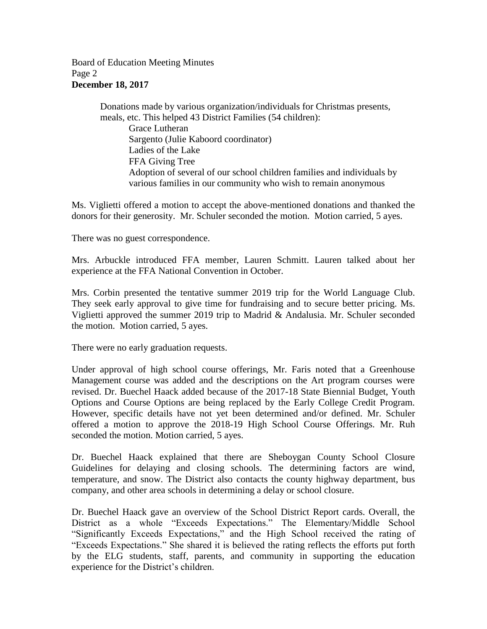## Board of Education Meeting Minutes Page 2 **December 18, 2017**

Donations made by various organization/individuals for Christmas presents, meals, etc. This helped 43 District Families (54 children): Grace Lutheran Sargento (Julie Kaboord coordinator) Ladies of the Lake FFA Giving Tree Adoption of several of our school children families and individuals by various families in our community who wish to remain anonymous

Ms. Viglietti offered a motion to accept the above-mentioned donations and thanked the donors for their generosity. Mr. Schuler seconded the motion. Motion carried, 5 ayes.

There was no guest correspondence.

Mrs. Arbuckle introduced FFA member, Lauren Schmitt. Lauren talked about her experience at the FFA National Convention in October.

Mrs. Corbin presented the tentative summer 2019 trip for the World Language Club. They seek early approval to give time for fundraising and to secure better pricing. Ms. Viglietti approved the summer 2019 trip to Madrid & Andalusia. Mr. Schuler seconded the motion. Motion carried, 5 ayes.

There were no early graduation requests.

Under approval of high school course offerings, Mr. Faris noted that a Greenhouse Management course was added and the descriptions on the Art program courses were revised. Dr. Buechel Haack added because of the 2017-18 State Biennial Budget, Youth Options and Course Options are being replaced by the Early College Credit Program. However, specific details have not yet been determined and/or defined. Mr. Schuler offered a motion to approve the 2018-19 High School Course Offerings. Mr. Ruh seconded the motion. Motion carried, 5 ayes.

Dr. Buechel Haack explained that there are Sheboygan County School Closure Guidelines for delaying and closing schools. The determining factors are wind, temperature, and snow. The District also contacts the county highway department, bus company, and other area schools in determining a delay or school closure.

Dr. Buechel Haack gave an overview of the School District Report cards. Overall, the District as a whole "Exceeds Expectations." The Elementary/Middle School "Significantly Exceeds Expectations," and the High School received the rating of "Exceeds Expectations." She shared it is believed the rating reflects the efforts put forth by the ELG students, staff, parents, and community in supporting the education experience for the District's children.